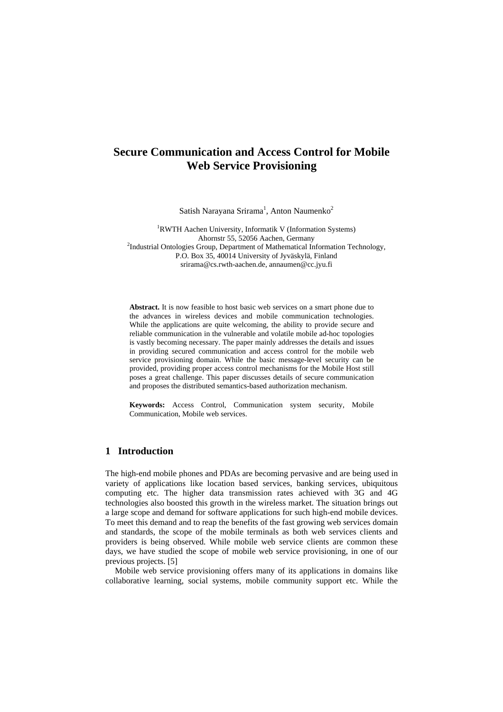# **Secure Communication and Access Control for Mobile Web Service Provisioning**

Satish Narayana Srirama<sup>1</sup>, Anton Naumenko<sup>2</sup>

<sup>1</sup>RWTH Aachen University, Informatik V (Information Systems) Ahornstr 55, 52056 Aachen, Germany<br><sup>2</sup>Industrial Ontologies Group, Department of Mathematical Information Technology, P.O. Box 35, 40014 University of Jyväskylä, Finland srirama@cs.rwth-aachen.de, annaumen@cc.jyu.fi

**Abstract.** It is now feasible to host basic web services on a smart phone due to the advances in wireless devices and mobile communication technologies. While the applications are quite welcoming, the ability to provide secure and reliable communication in the vulnerable and volatile mobile ad-hoc topologies is vastly becoming necessary. The paper mainly addresses the details and issues in providing secured communication and access control for the mobile web service provisioning domain. While the basic message-level security can be provided, providing proper access control mechanisms for the Mobile Host still poses a great challenge. This paper discusses details of secure communication and proposes the distributed semantics-based authorization mechanism.

**Keywords:** Access Control, Communication system security, Mobile Communication, Mobile web services.

## **1 Introduction**

The high-end mobile phones and PDAs are becoming pervasive and are being used in variety of applications like location based services, banking services, ubiquitous computing etc. The higher data transmission rates achieved with 3G and 4G technologies also boosted this growth in the wireless market. The situation brings out a large scope and demand for software applications for such high-end mobile devices. To meet this demand and to reap the benefits of the fast growing web services domain and standards, the scope of the mobile terminals as both web services clients and providers is being observed. While mobile web service clients are common these days, we have studied the scope of mobile web service provisioning, in one of our previous projects. [5]

Mobile web service provisioning offers many of its applications in domains like collaborative learning, social systems, mobile community support etc. While the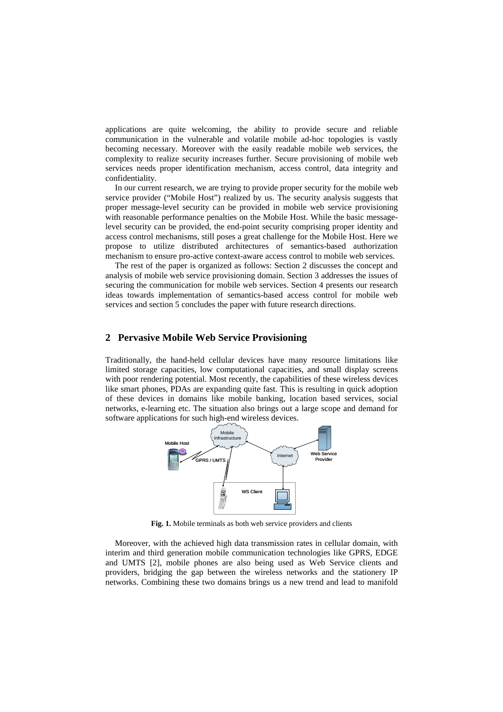applications are quite welcoming, the ability to provide secure and reliable communication in the vulnerable and volatile mobile ad-hoc topologies is vastly becoming necessary. Moreover with the easily readable mobile web services, the complexity to realize security increases further. Secure provisioning of mobile web services needs proper identification mechanism, access control, data integrity and confidentiality.

In our current research, we are trying to provide proper security for the mobile web service provider ("Mobile Host") realized by us. The security analysis suggests that proper message-level security can be provided in mobile web service provisioning with reasonable performance penalties on the Mobile Host. While the basic messagelevel security can be provided, the end-point security comprising proper identity and access control mechanisms, still poses a great challenge for the Mobile Host. Here we propose to utilize distributed architectures of semantics-based authorization mechanism to ensure pro-active context-aware access control to mobile web services.

The rest of the paper is organized as follows: Section 2 discusses the concept and analysis of mobile web service provisioning domain. Section 3 addresses the issues of securing the communication for mobile web services. Section 4 presents our research ideas towards implementation of semantics-based access control for mobile web services and section 5 concludes the paper with future research directions.

## **2 Pervasive Mobile Web Service Provisioning**

Traditionally, the hand-held cellular devices have many resource limitations like limited storage capacities, low computational capacities, and small display screens with poor rendering potential. Most recently, the capabilities of these wireless devices like smart phones, PDAs are expanding quite fast. This is resulting in quick adoption of these devices in domains like mobile banking, location based services, social networks, e-learning etc. The situation also brings out a large scope and demand for software applications for such high-end wireless devices.



Fig. 1. Mobile terminals as both web service providers and clients

Moreover, with the achieved high data transmission rates in cellular domain, with interim and third generation mobile communication technologies like GPRS, EDGE and UMTS [2], mobile phones are also being used as Web Service clients and providers, bridging the gap between the wireless networks and the stationery IP networks. Combining these two domains brings us a new trend and lead to manifold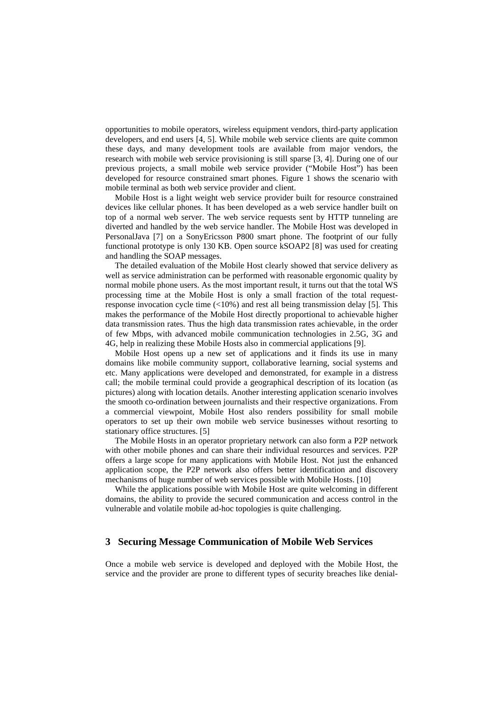opportunities to mobile operators, wireless equipment vendors, third-party application developers, and end users [4, 5]. While mobile web service clients are quite common these days, and many development tools are available from major vendors, the research with mobile web service provisioning is still sparse [3, 4]. During one of our previous projects, a small mobile web service provider ("Mobile Host") has been developed for resource constrained smart phones. Figure 1 shows the scenario with mobile terminal as both web service provider and client.

Mobile Host is a light weight web service provider built for resource constrained devices like cellular phones. It has been developed as a web service handler built on top of a normal web server. The web service requests sent by HTTP tunneling are diverted and handled by the web service handler. The Mobile Host was developed in PersonalJava [7] on a SonyEricsson P800 smart phone. The footprint of our fully functional prototype is only 130 KB. Open source kSOAP2 [8] was used for creating and handling the SOAP messages.

The detailed evaluation of the Mobile Host clearly showed that service delivery as well as service administration can be performed with reasonable ergonomic quality by normal mobile phone users. As the most important result, it turns out that the total WS processing time at the Mobile Host is only a small fraction of the total requestresponse invocation cycle time  $\left($ <10%) and rest all being transmission delay [5]. This makes the performance of the Mobile Host directly proportional to achievable higher data transmission rates. Thus the high data transmission rates achievable, in the order of few Mbps, with advanced mobile communication technologies in 2.5G, 3G and 4G, help in realizing these Mobile Hosts also in commercial applications [9].

Mobile Host opens up a new set of applications and it finds its use in many domains like mobile community support, collaborative learning, social systems and etc. Many applications were developed and demonstrated, for example in a distress call; the mobile terminal could provide a geographical description of its location (as pictures) along with location details. Another interesting application scenario involves the smooth co-ordination between journalists and their respective organizations. From a commercial viewpoint, Mobile Host also renders possibility for small mobile operators to set up their own mobile web service businesses without resorting to stationary office structures. [5]

The Mobile Hosts in an operator proprietary network can also form a P2P network with other mobile phones and can share their individual resources and services. P2P offers a large scope for many applications with Mobile Host. Not just the enhanced application scope, the P2P network also offers better identification and discovery mechanisms of huge number of web services possible with Mobile Hosts. [10]

While the applications possible with Mobile Host are quite welcoming in different domains, the ability to provide the secured communication and access control in the vulnerable and volatile mobile ad-hoc topologies is quite challenging.

## **3 Securing Message Communication of Mobile Web Services**

Once a mobile web service is developed and deployed with the Mobile Host, the service and the provider are prone to different types of security breaches like denial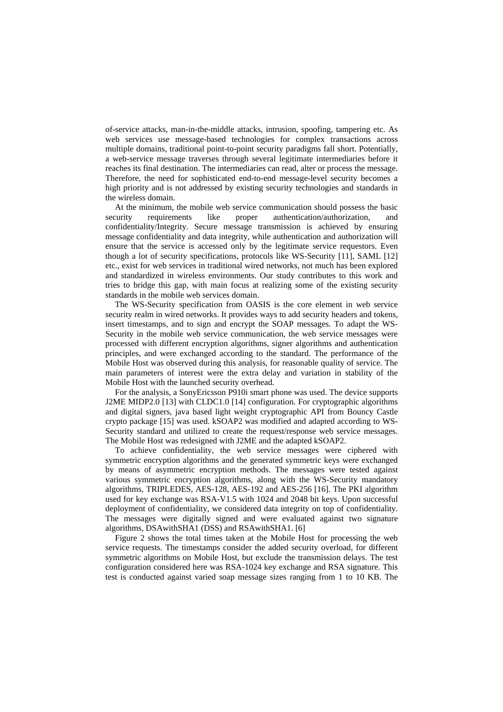of-service attacks, man-in-the-middle attacks, intrusion, spoofing, tampering etc. As web services use message-based technologies for complex transactions across multiple domains, traditional point-to-point security paradigms fall short. Potentially, a web-service message traverses through several legitimate intermediaries before it reaches its final destination. The intermediaries can read, alter or process the message. Therefore, the need for sophisticated end-to-end message-level security becomes a high priority and is not addressed by existing security technologies and standards in the wireless domain.

At the minimum, the mobile web service communication should possess the basic security requirements like proper authentication/authorization, and confidentiality/Integrity. Secure message transmission is achieved by ensuring message confidentiality and data integrity, while authentication and authorization will ensure that the service is accessed only by the legitimate service requestors. Even though a lot of security specifications, protocols like WS-Security [11], SAML [12] etc., exist for web services in traditional wired networks, not much has been explored and standardized in wireless environments. Our study contributes to this work and tries to bridge this gap, with main focus at realizing some of the existing security standards in the mobile web services domain.

The WS-Security specification from OASIS is the core element in web service security realm in wired networks. It provides ways to add security headers and tokens, insert timestamps, and to sign and encrypt the SOAP messages. To adapt the WS-Security in the mobile web service communication, the web service messages were processed with different encryption algorithms, signer algorithms and authentication principles, and were exchanged according to the standard. The performance of the Mobile Host was observed during this analysis, for reasonable quality of service. The main parameters of interest were the extra delay and variation in stability of the Mobile Host with the launched security overhead.

For the analysis, a SonyEricsson P910i smart phone was used. The device supports J2ME MIDP2.0 [13] with CLDC1.0 [14] configuration. For cryptographic algorithms and digital signers, java based light weight cryptographic API from Bouncy Castle crypto package [15] was used. kSOAP2 was modified and adapted according to WS-Security standard and utilized to create the request/response web service messages. The Mobile Host was redesigned with J2ME and the adapted kSOAP2.

To achieve confidentiality, the web service messages were ciphered with symmetric encryption algorithms and the generated symmetric keys were exchanged by means of asymmetric encryption methods. The messages were tested against various symmetric encryption algorithms, along with the WS-Security mandatory algorithms, TRIPLEDES, AES-128, AES-192 and AES-256 [16]. The PKI algorithm used for key exchange was RSA-V1.5 with 1024 and 2048 bit keys. Upon successful deployment of confidentiality, we considered data integrity on top of confidentiality. The messages were digitally signed and were evaluated against two signature algorithms, DSAwithSHA1 (DSS) and RSAwithSHA1. [6]

Figure 2 shows the total times taken at the Mobile Host for processing the web service requests. The timestamps consider the added security overload, for different symmetric algorithms on Mobile Host, but exclude the transmission delays. The test configuration considered here was RSA-1024 key exchange and RSA signature. This test is conducted against varied soap message sizes ranging from 1 to 10 KB. The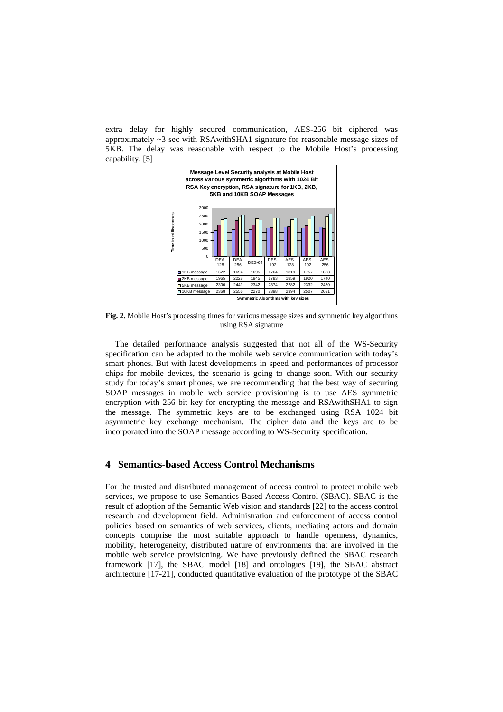extra delay for highly secured communication, AES-256 bit ciphered was approximately ~3 sec with RSAwithSHA1 signature for reasonable message sizes of 5KB. The delay was reasonable with respect to the Mobile Host's processing capability. [5]



**Fig. 2.** Mobile Host's processing times for various message sizes and symmetric key algorithms using RSA signature

The detailed performance analysis suggested that not all of the WS-Security specification can be adapted to the mobile web service communication with today's smart phones. But with latest developments in speed and performances of processor chips for mobile devices, the scenario is going to change soon. With our security study for today's smart phones, we are recommending that the best way of securing SOAP messages in mobile web service provisioning is to use AES symmetric encryption with 256 bit key for encrypting the message and RSAwithSHA1 to sign the message. The symmetric keys are to be exchanged using RSA 1024 bit asymmetric key exchange mechanism. The cipher data and the keys are to be incorporated into the SOAP message according to WS-Security specification.

## **4 Semantics-based Access Control Mechanisms**

For the trusted and distributed management of access control to protect mobile web services, we propose to use Semantics-Based Access Control (SBAC). SBAC is the result of adoption of the Semantic Web vision and standards [22] to the access control research and development field. Administration and enforcement of access control policies based on semantics of web services, clients, mediating actors and domain concepts comprise the most suitable approach to handle openness, dynamics, mobility, heterogeneity, distributed nature of environments that are involved in the mobile web service provisioning. We have previously defined the SBAC research framework [17], the SBAC model [18] and ontologies [19], the SBAC abstract architecture [17-21], conducted quantitative evaluation of the prototype of the SBAC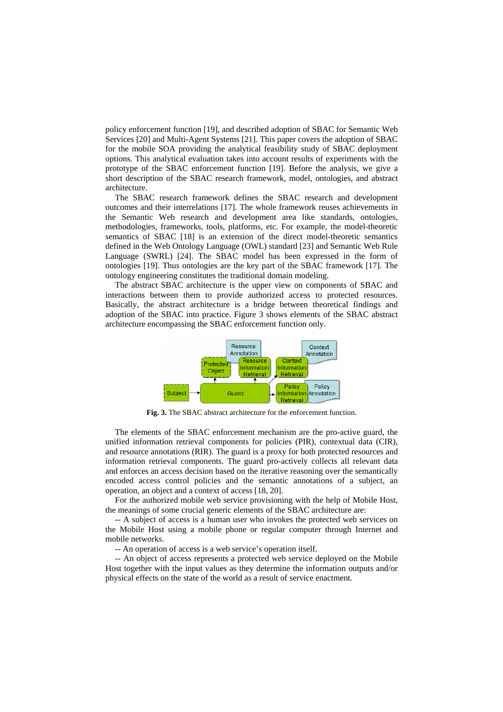policy enforcement function [19], and described adoption of SBAC for Semantic Web Services [20] and Multi-Agent Systems [21]. This paper covers the adoption of SBAC for the mobile SOA providing the analytical feasibility study of SBAC deployment options. This analytical evaluation takes into account results of experiments with the prototype of the SBAC enforcement function [19]. Before the analysis, we give a short description of the SBAC research framework, model, ontologies, and abstract architecture.

The SBAC research framework defines the SBAC research and development outcomes and their interrelations [17]. The whole framework reuses achievements in the Semantic Web research and development area like standards, ontologies, methodologies, frameworks, tools, platforms, etc. For example, the model-theoretic semantics of SBAC [18] is an extension of the direct model-theoretic semantics defined in the Web Ontology Language (OWL) standard [23] and Semantic Web Rule Language (SWRL) [24]. The SBAC model has been expressed in the form of ontologies [19]. Thus ontologies are the key part of the SBAC framework [17]. The ontology engineering constitutes the traditional domain modeling.

The abstract SBAC architecture is the upper view on components of SBAC and interactions between them to provide authorized access to protected resources. Basically, the abstract architecture is a bridge between theoretical findings and adoption of the SBAC into practice. Figure 3 shows elements of the SBAC abstract architecture encompassing the SBAC enforcement function only.



**Fig. 3.** The SBAC abstract architecture for the enforcement function.

The elements of the SBAC enforcement mechanism are the pro-active guard, the unified information retrieval components for policies (PIR), contextual data (CIR), and resource annotations (RIR). The guard is a proxy for both protected resources and information retrieval components. The guard pro-actively collects all relevant data and enforces an access decision based on the iterative reasoning over the semantically encoded access control policies and the semantic annotations of a subject, an operation, an object and a context of access [18, 20].

For the authorized mobile web service provisioning with the help of Mobile Host, the meanings of some crucial generic elements of the SBAC architecture are:

-- A subject of access is a human user who invokes the protected web services on the Mobile Host using a mobile phone or regular computer through Internet and mobile networks.

-- An operation of access is a web service's operation itself.

-- An object of access represents a protected web service deployed on the Mobile Host together with the input values as they determine the information outputs and/or physical effects on the state of the world as a result of service enactment.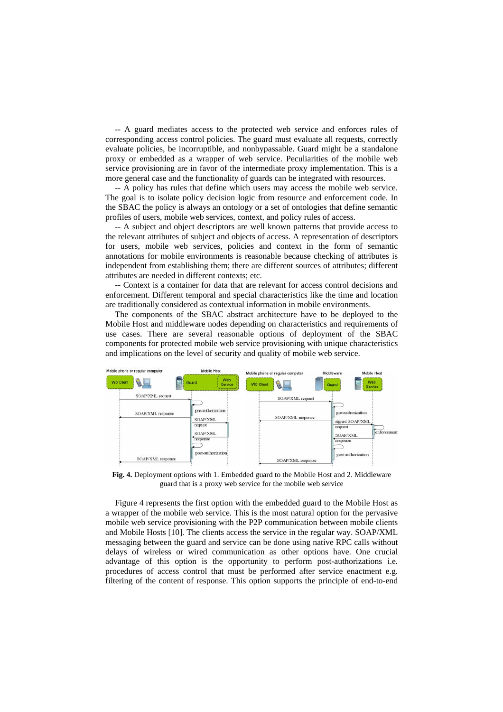-- A guard mediates access to the protected web service and enforces rules of corresponding access control policies. The guard must evaluate all requests, correctly evaluate policies, be incorruptible, and nonbypassable. Guard might be a standalone proxy or embedded as a wrapper of web service. Peculiarities of the mobile web service provisioning are in favor of the intermediate proxy implementation. This is a more general case and the functionality of guards can be integrated with resources.

-- A policy has rules that define which users may access the mobile web service. The goal is to isolate policy decision logic from resource and enforcement code. In the SBAC the policy is always an ontology or a set of ontologies that define semantic profiles of users, mobile web services, context, and policy rules of access.

-- A subject and object descriptors are well known patterns that provide access to the relevant attributes of subject and objects of access. A representation of descriptors for users, mobile web services, policies and context in the form of semantic annotations for mobile environments is reasonable because checking of attributes is independent from establishing them; there are different sources of attributes; different attributes are needed in different contexts; etc.

-- Context is a container for data that are relevant for access control decisions and enforcement. Different temporal and special characteristics like the time and location are traditionally considered as contextual information in mobile environments.

The components of the SBAC abstract architecture have to be deployed to the Mobile Host and middleware nodes depending on characteristics and requirements of use cases. There are several reasonable options of deployment of the SBAC components for protected mobile web service provisioning with unique characteristics and implications on the level of security and quality of mobile web service.



**Fig. 4.** Deployment options with 1. Embedded guard to the Mobile Host and 2. Middleware guard that is a proxy web service for the mobile web service

Figure 4 represents the first option with the embedded guard to the Mobile Host as a wrapper of the mobile web service. This is the most natural option for the pervasive mobile web service provisioning with the P2P communication between mobile clients and Mobile Hosts [10]. The clients access the service in the regular way. SOAP/XML messaging between the guard and service can be done using native RPC calls without delays of wireless or wired communication as other options have. One crucial advantage of this option is the opportunity to perform post-authorizations i.e. procedures of access control that must be performed after service enactment e.g. filtering of the content of response. This option supports the principle of end-to-end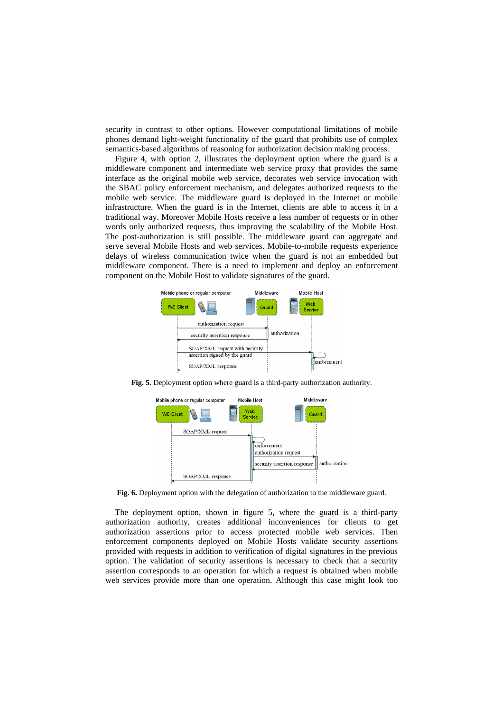security in contrast to other options. However computational limitations of mobile phones demand light-weight functionality of the guard that prohibits use of complex semantics-based algorithms of reasoning for authorization decision making process.

Figure 4, with option 2, illustrates the deployment option where the guard is a middleware component and intermediate web service proxy that provides the same interface as the original mobile web service, decorates web service invocation with the SBAC policy enforcement mechanism, and delegates authorized requests to the mobile web service. The middleware guard is deployed in the Internet or mobile infrastructure. When the guard is in the Internet, clients are able to access it in a traditional way. Moreover Mobile Hosts receive a less number of requests or in other words only authorized requests, thus improving the scalability of the Mobile Host. The post-authorization is still possible. The middleware guard can aggregate and serve several Mobile Hosts and web services. Mobile-to-mobile requests experience delays of wireless communication twice when the guard is not an embedded but middleware component. There is a need to implement and deploy an enforcement component on the Mobile Host to validate signatures of the guard.



**Fig. 5.** Deployment option where guard is a third-party authorization authority.



**Fig. 6.** Deployment option with the delegation of authorization to the middleware guard.

The deployment option, shown in figure 5, where the guard is a third-party authorization authority, creates additional inconveniences for clients to get authorization assertions prior to access protected mobile web services. Then enforcement components deployed on Mobile Hosts validate security assertions provided with requests in addition to verification of digital signatures in the previous option. The validation of security assertions is necessary to check that a security assertion corresponds to an operation for which a request is obtained when mobile web services provide more than one operation. Although this case might look too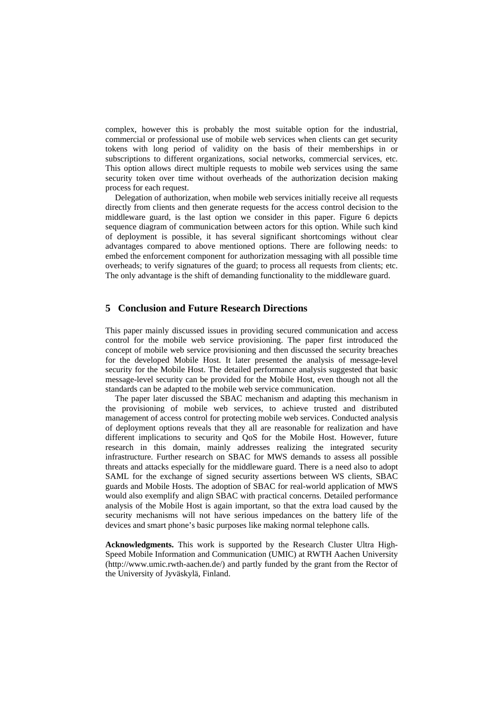complex, however this is probably the most suitable option for the industrial, commercial or professional use of mobile web services when clients can get security tokens with long period of validity on the basis of their memberships in or subscriptions to different organizations, social networks, commercial services, etc. This option allows direct multiple requests to mobile web services using the same security token over time without overheads of the authorization decision making process for each request.

Delegation of authorization, when mobile web services initially receive all requests directly from clients and then generate requests for the access control decision to the middleware guard, is the last option we consider in this paper. Figure 6 depicts sequence diagram of communication between actors for this option. While such kind of deployment is possible, it has several significant shortcomings without clear advantages compared to above mentioned options. There are following needs: to embed the enforcement component for authorization messaging with all possible time overheads; to verify signatures of the guard; to process all requests from clients; etc. The only advantage is the shift of demanding functionality to the middleware guard.

## **5 Conclusion and Future Research Directions**

This paper mainly discussed issues in providing secured communication and access control for the mobile web service provisioning. The paper first introduced the concept of mobile web service provisioning and then discussed the security breaches for the developed Mobile Host. It later presented the analysis of message-level security for the Mobile Host. The detailed performance analysis suggested that basic message-level security can be provided for the Mobile Host, even though not all the standards can be adapted to the mobile web service communication.

The paper later discussed the SBAC mechanism and adapting this mechanism in the provisioning of mobile web services, to achieve trusted and distributed management of access control for protecting mobile web services. Conducted analysis of deployment options reveals that they all are reasonable for realization and have different implications to security and QoS for the Mobile Host. However, future research in this domain, mainly addresses realizing the integrated security infrastructure. Further research on SBAC for MWS demands to assess all possible threats and attacks especially for the middleware guard. There is a need also to adopt SAML for the exchange of signed security assertions between WS clients, SBAC guards and Mobile Hosts. The adoption of SBAC for real-world application of MWS would also exemplify and align SBAC with practical concerns. Detailed performance analysis of the Mobile Host is again important, so that the extra load caused by the security mechanisms will not have serious impedances on the battery life of the devices and smart phone's basic purposes like making normal telephone calls.

**Acknowledgments.** This work is supported by the Research Cluster Ultra High-Speed Mobile Information and Communication (UMIC) at RWTH Aachen University (http://www.umic.rwth-aachen.de/) and partly funded by the grant from the Rector of the University of Jyväskylä, Finland.